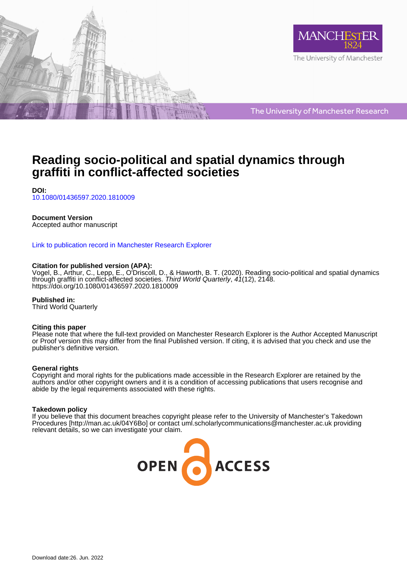



The University of Manchester Research

# **Reading socio-political and spatial dynamics through graffiti in conflict-affected societies**

#### **DOI:** [10.1080/01436597.2020.1810009](https://doi.org/10.1080/01436597.2020.1810009)

## **Document Version**

Accepted author manuscript

#### [Link to publication record in Manchester Research Explorer](https://www.research.manchester.ac.uk/portal/en/publications/reading-sociopolitical-and-spatial-dynamics-through-graffiti-in-conflictaffected-societies(8976d645-50d1-406d-98d1-fbffab394897).html)

#### **Citation for published version (APA):**

[Vogel, B.](/portal/birte.vogel.html)[, Arthur, C.,](/portal/catherine.arthur.html) Lepp, E., O'Driscoll, D[., & Haworth, B. T.](/portal/billy.haworth.html) (2020). [Reading socio-political and spatial dynamics](https://www.research.manchester.ac.uk/portal/en/publications/reading-sociopolitical-and-spatial-dynamics-through-graffiti-in-conflictaffected-societies(8976d645-50d1-406d-98d1-fbffab394897).html) [through graffiti in conflict-affected societies.](https://www.research.manchester.ac.uk/portal/en/publications/reading-sociopolitical-and-spatial-dynamics-through-graffiti-in-conflictaffected-societies(8976d645-50d1-406d-98d1-fbffab394897).html) Third World Quarterly, 41(12), 2148. <https://doi.org/10.1080/01436597.2020.1810009>

**Published in:** Third World Quarterly

#### **Citing this paper**

Please note that where the full-text provided on Manchester Research Explorer is the Author Accepted Manuscript or Proof version this may differ from the final Published version. If citing, it is advised that you check and use the publisher's definitive version.

#### **General rights**

Copyright and moral rights for the publications made accessible in the Research Explorer are retained by the authors and/or other copyright owners and it is a condition of accessing publications that users recognise and abide by the legal requirements associated with these rights.

#### **Takedown policy**

If you believe that this document breaches copyright please refer to the University of Manchester's Takedown Procedures [http://man.ac.uk/04Y6Bo] or contact uml.scholarlycommunications@manchester.ac.uk providing relevant details, so we can investigate your claim.

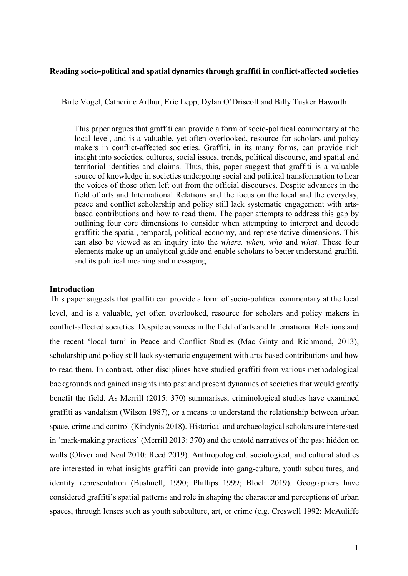# **Reading socio-political and spatial dynamics through graffiti in conflict-affected societies**

Birte Vogel, Catherine Arthur, Eric Lepp, Dylan O'Driscoll and Billy Tusker Haworth

This paper argues that graffiti can provide a form of socio-political commentary at the local level, and is a valuable, yet often overlooked, resource for scholars and policy makers in conflict-affected societies. Graffiti, in its many forms, can provide rich insight into societies, cultures, social issues, trends, political discourse, and spatial and territorial identities and claims. Thus, this, paper suggest that graffiti is a valuable source of knowledge in societies undergoing social and political transformation to hear the voices of those often left out from the official discourses. Despite advances in the field of arts and International Relations and the focus on the local and the everyday, peace and conflict scholarship and policy still lack systematic engagement with artsbased contributions and how to read them. The paper attempts to address this gap by outlining four core dimensions to consider when attempting to interpret and decode graffiti: the spatial, temporal, political economy, and representative dimensions. This can also be viewed as an inquiry into the *where, when, who* and *what*. These four elements make up an analytical guide and enable scholars to better understand graffiti, and its political meaning and messaging.

## **Introduction**

This paper suggests that graffiti can provide a form of socio-political commentary at the local level, and is a valuable, yet often overlooked, resource for scholars and policy makers in conflict-affected societies. Despite advances in the field of arts and International Relations and the recent 'local turn' in Peace and Conflict Studies (Mac Ginty and Richmond, 2013), scholarship and policy still lack systematic engagement with arts-based contributions and how to read them. In contrast, other disciplines have studied graffiti from various methodological backgrounds and gained insights into past and present dynamics of societies that would greatly benefit the field. As Merrill (2015: 370) summarises, criminological studies have examined graffiti as vandalism (Wilson 1987), or a means to understand the relationship between urban space, crime and control (Kindynis 2018). Historical and archaeological scholars are interested in 'mark-making practices' (Merrill 2013: 370) and the untold narratives of the past hidden on walls (Oliver and Neal 2010: Reed 2019). Anthropological, sociological, and cultural studies are interested in what insights graffiti can provide into gang-culture, youth subcultures, and identity representation (Bushnell, 1990; Phillips 1999; Bloch 2019). Geographers have considered graffiti's spatial patterns and role in shaping the character and perceptions of urban spaces, through lenses such as youth subculture, art, or crime (e.g. Creswell 1992; McAuliffe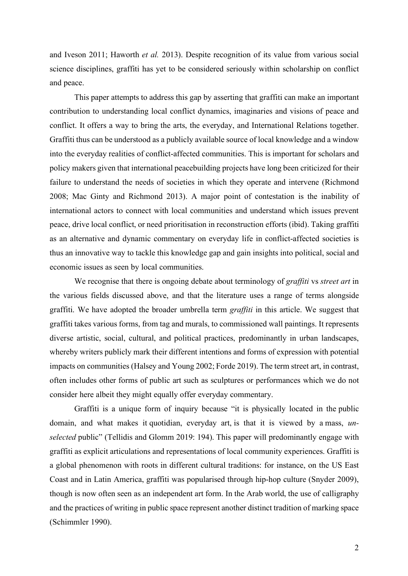and Iveson 2011; Haworth *et al.* 2013). Despite recognition of its value from various social science disciplines, graffiti has yet to be considered seriously within scholarship on conflict and peace.

This paper attempts to address this gap by asserting that graffiti can make an important contribution to understanding local conflict dynamics, imaginaries and visions of peace and conflict. It offers a way to bring the arts, the everyday, and International Relations together. Graffiti thus can be understood as a publicly available source of local knowledge and a window into the everyday realities of conflict-affected communities. This is important for scholars and policy makers given that international peacebuilding projects have long been criticized for their failure to understand the needs of societies in which they operate and intervene (Richmond 2008; Mac Ginty and Richmond 2013). A major point of contestation is the inability of international actors to connect with local communities and understand which issues prevent peace, drive local conflict, or need prioritisation in reconstruction efforts (ibid). Taking graffiti as an alternative and dynamic commentary on everyday life in conflict-affected societies is thus an innovative way to tackle this knowledge gap and gain insights into political, social and economic issues as seen by local communities.

We recognise that there is ongoing debate about terminology of *graffiti* vs *street art* in the various fields discussed above, and that the literature uses a range of terms alongside graffiti. We have adopted the broader umbrella term *graffiti* in this article. We suggest that graffiti takes various forms, from tag and murals, to commissioned wall paintings. It represents diverse artistic, social, cultural, and political practices, predominantly in urban landscapes, whereby writers publicly mark their different intentions and forms of expression with potential impacts on communities (Halsey and Young 2002; Forde 2019). The term street art, in contrast, often includes other forms of public art such as sculptures or performances which we do not consider here albeit they might equally offer everyday commentary.

Graffiti is a unique form of inquiry because "it is physically located in the public domain, and what makes it quotidian, everyday art, is that it is viewed by a mass, *unselected* public" (Tellidis and Glomm 2019: 194). This paper will predominantly engage with graffiti as explicit articulations and representations of local community experiences. Graffiti is a global phenomenon with roots in different cultural traditions: for instance, on the US East Coast and in Latin America, graffiti was popularised through hip-hop culture (Snyder 2009), though is now often seen as an independent art form. In the Arab world, the use of calligraphy and the practices of writing in public space represent another distinct tradition of marking space (Schimmler 1990).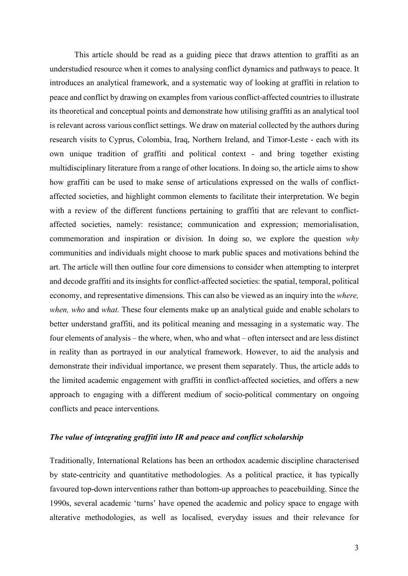This article should be read as a guiding piece that draws attention to graffiti as an understudied resource when it comes to analysing conflict dynamics and pathways to peace. It introduces an analytical framework, and a systematic way of looking at graffiti in relation to peace and conflict by drawing on examples from various conflict-affected countriesto illustrate its theoretical and conceptual points and demonstrate how utilising graffiti as an analytical tool is relevant across various conflict settings. We draw on material collected by the authors during research visits to Cyprus, Colombia, Iraq, Northern Ireland, and Timor-Leste - each with its own unique tradition of graffiti and political context - and bring together existing multidisciplinary literature from a range of other locations. In doing so, the article aims to show how graffiti can be used to make sense of articulations expressed on the walls of conflictaffected societies, and highlight common elements to facilitate their interpretation. We begin with a review of the different functions pertaining to graffiti that are relevant to conflictaffected societies, namely: resistance; communication and expression; memorialisation, commemoration and inspiration or division. In doing so, we explore the question *why* communities and individuals might choose to mark public spaces and motivations behind the art. The article will then outline four core dimensions to consider when attempting to interpret and decode graffiti and its insights for conflict-affected societies: the spatial, temporal, political economy, and representative dimensions. This can also be viewed as an inquiry into the *where, when, who* and *what*. These four elements make up an analytical guide and enable scholars to better understand graffiti, and its political meaning and messaging in a systematic way. The four elements of analysis – the where, when, who and what – often intersect and are less distinct in reality than as portrayed in our analytical framework. However, to aid the analysis and demonstrate their individual importance, we present them separately. Thus, the article adds to the limited academic engagement with graffiti in conflict-affected societies, and offers a new approach to engaging with a different medium of socio-political commentary on ongoing conflicts and peace interventions.

# *The value of integrating graffiti into IR and peace and conflict scholarship*

Traditionally, International Relations has been an orthodox academic discipline characterised by state-centricity and quantitative methodologies. As a political practice, it has typically favoured top-down interventions rather than bottom-up approaches to peacebuilding. Since the 1990s, several academic 'turns' have opened the academic and policy space to engage with alterative methodologies, as well as localised, everyday issues and their relevance for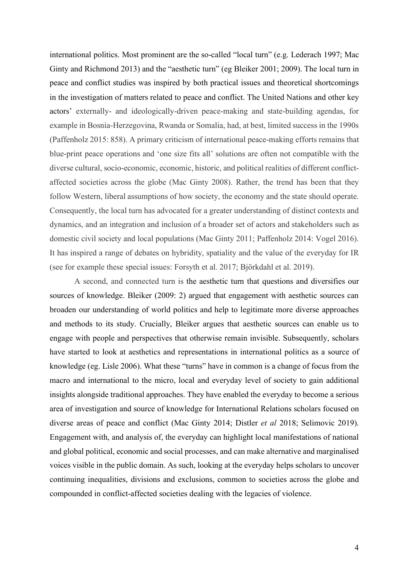international politics. Most prominent are the so-called "local turn" (e.g. Lederach 1997; Mac Ginty and Richmond 2013) and the "aesthetic turn" (eg Bleiker 2001; 2009). The local turn in peace and conflict studies was inspired by both practical issues and theoretical shortcomings in the investigation of matters related to peace and conflict. The United Nations and other key actors' externally- and ideologically-driven peace-making and state-building agendas, for example in Bosnia-Herzegovina, Rwanda or Somalia, had, at best, limited success in the 1990s (Paffenholz 2015: 858). A primary criticism of international peace-making efforts remains that blue-print peace operations and 'one size fits all' solutions are often not compatible with the diverse cultural, socio-economic, economic, historic, and political realities of different conflictaffected societies across the globe (Mac Ginty 2008). Rather, the trend has been that they follow Western, liberal assumptions of how society, the economy and the state should operate. Consequently, the local turn has advocated for a greater understanding of distinct contexts and dynamics, and an integration and inclusion of a broader set of actors and stakeholders such as domestic civil society and local populations (Mac Ginty 2011; Paffenholz 2014: Vogel 2016). It has inspired a range of debates on hybridity, spatiality and the value of the everyday for IR (see for example these special issues: Forsyth et al. 2017; Björkdahl et al. 2019).

A second, and connected turn is the aesthetic turn that questions and diversifies our sources of knowledge. Bleiker (2009: 2) argued that engagement with aesthetic sources can broaden our understanding of world politics and help to legitimate more diverse approaches and methods to its study. Crucially, Bleiker argues that aesthetic sources can enable us to engage with people and perspectives that otherwise remain invisible. Subsequently, scholars have started to look at aesthetics and representations in international politics as a source of knowledge (eg. Lisle 2006). What these "turns" have in common is a change of focus from the macro and international to the micro, local and everyday level of society to gain additional insights alongside traditional approaches. They have enabled the everyday to become a serious area of investigation and source of knowledge for International Relations scholars focused on diverse areas of peace and conflict (Mac Ginty 2014; Distler *et al* 2018; Selimovic 2019). Engagement with, and analysis of, the everyday can highlight local manifestations of national and global political, economic and social processes, and can make alternative and marginalised voices visible in the public domain. As such, looking at the everyday helps scholars to uncover continuing inequalities, divisions and exclusions, common to societies across the globe and compounded in conflict-affected societies dealing with the legacies of violence.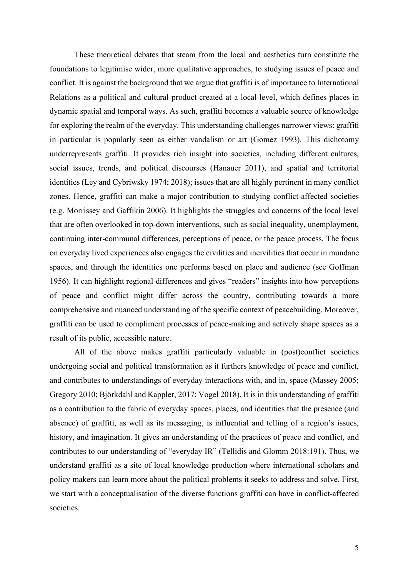These theoretical debates that steam from the local and aesthetics turn constitute the foundations to legitimise wider, more qualitative approaches, to studying issues of peace and conflict. It is against the background that we argue that graffiti is of importance to International Relations as a political and cultural product created at a local level, which defines places in dynamic spatial and temporal ways. As such, graffiti becomes a valuable source of knowledge for exploring the realm of the everyday. This understanding challenges narrower views: graffiti in particular is popularly seen as either vandalism or art (Gomez 1993). This dichotomy underrepresents graffiti. It provides rich insight into societies, including different cultures, social issues, trends, and political discourses (Hanauer 2011), and spatial and territorial identities (Ley and Cybriwsky 1974; 2018); issues that are all highly pertinent in many conflict zones. Hence, graffiti can make a major contribution to studying conflict-affected societies (e.g. Morrissey and Gaffikin 2006). It highlights the struggles and concerns of the local level that are often overlooked in top-down interventions, such as social inequality, unemployment, continuing inter-communal differences, perceptions of peace, or the peace process. The focus on everyday lived experiences also engages the civilities and incivilities that occur in mundane spaces, and through the identities one performs based on place and audience (see Goffman 1956). It can highlight regional differences and gives "readers" insights into how perceptions of peace and conflict might differ across the country, contributing towards a more comprehensive and nuanced understanding of the specific context of peacebuilding. Moreover, graffiti can be used to compliment processes of peace-making and actively shape spaces as a result of its public, accessible nature.

All of the above makes graffiti particularly valuable in (post)conflict societies undergoing social and political transformation as it furthers knowledge of peace and conflict, and contributes to understandings of everyday interactions with, and in, space (Massey 2005; Gregory 2010; Björkdahl and Kappler, 2017; Vogel 2018). It is in this understanding of graffiti as a contribution to the fabric of everyday spaces, places, and identities that the presence (and absence) of graffiti, as well as its messaging, is influential and telling of a region's issues, history, and imagination. It gives an understanding of the practices of peace and conflict, and contributes to our understanding of "everyday IR" (Tellidis and Glomm 2018:191). Thus, we understand graffiti as a site of local knowledge production where international scholars and policy makers can learn more about the political problems it seeks to address and solve. First, we start with a conceptualisation of the diverse functions graffiti can have in conflict-affected societies.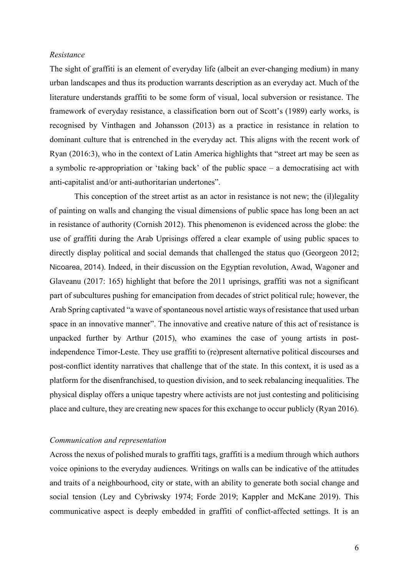# *Resistance*

The sight of graffiti is an element of everyday life (albeit an ever-changing medium) in many urban landscapes and thus its production warrants description as an everyday act. Much of the literature understands graffiti to be some form of visual, local subversion or resistance. The framework of everyday resistance, a classification born out of Scott's (1989) early works, is recognised by Vinthagen and Johansson (2013) as a practice in resistance in relation to dominant culture that is entrenched in the everyday act. This aligns with the recent work of Ryan (2016:3), who in the context of Latin America highlights that "street art may be seen as a symbolic re-appropriation or 'taking back' of the public space – a democratising act with anti-capitalist and/or anti-authoritarian undertones".

This conception of the street artist as an actor in resistance is not new; the (il)legality of painting on walls and changing the visual dimensions of public space has long been an act in resistance of authority (Cornish 2012). This phenomenon is evidenced across the globe: the use of graffiti during the Arab Uprisings offered a clear example of using public spaces to directly display political and social demands that challenged the status quo (Georgeon 2012; Nicoarea, 2014). Indeed, in their discussion on the Egyptian revolution, Awad, Wagoner and Glaveanu (2017: 165) highlight that before the 2011 uprisings, graffiti was not a significant part of subcultures pushing for emancipation from decades of strict political rule; however, the Arab Spring captivated "a wave of spontaneous novel artistic ways of resistance that used urban space in an innovative manner". The innovative and creative nature of this act of resistance is unpacked further by Arthur (2015), who examines the case of young artists in postindependence Timor-Leste. They use graffiti to (re)present alternative political discourses and post-conflict identity narratives that challenge that of the state. In this context, it is used as a platform for the disenfranchised, to question division, and to seek rebalancing inequalities. The physical display offers a unique tapestry where activists are not just contesting and politicising place and culture, they are creating new spaces for this exchange to occur publicly (Ryan 2016).

# *Communication and representation*

Across the nexus of polished murals to graffiti tags, graffiti is a medium through which authors voice opinions to the everyday audiences. Writings on walls can be indicative of the attitudes and traits of a neighbourhood, city or state, with an ability to generate both social change and social tension (Ley and Cybriwsky 1974; Forde 2019; Kappler and McKane 2019). This communicative aspect is deeply embedded in graffiti of conflict-affected settings. It is an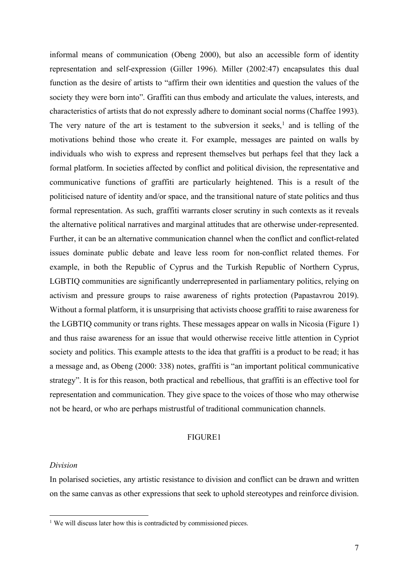informal means of communication (Obeng 2000), but also an accessible form of identity representation and self-expression (Giller 1996). Miller (2002:47) encapsulates this dual function as the desire of artists to "affirm their own identities and question the values of the society they were born into". Graffiti can thus embody and articulate the values, interests, and characteristics of artists that do not expressly adhere to dominant social norms (Chaffee 1993). The very nature of the art is testament to the subversion it seeks,<sup>1</sup> and is telling of the motivations behind those who create it. For example, messages are painted on walls by individuals who wish to express and represent themselves but perhaps feel that they lack a formal platform. In societies affected by conflict and political division, the representative and communicative functions of graffiti are particularly heightened. This is a result of the politicised nature of identity and/or space, and the transitional nature of state politics and thus formal representation. As such, graffiti warrants closer scrutiny in such contexts as it reveals the alternative political narratives and marginal attitudes that are otherwise under-represented. Further, it can be an alternative communication channel when the conflict and conflict-related issues dominate public debate and leave less room for non-conflict related themes. For example, in both the Republic of Cyprus and the Turkish Republic of Northern Cyprus, LGBTIQ communities are significantly underrepresented in parliamentary politics, relying on activism and pressure groups to raise awareness of rights protection (Papastavrou 2019). Without a formal platform, it is unsurprising that activists choose graffiti to raise awareness for the LGBTIQ community or trans rights. These messages appear on walls in Nicosia (Figure 1) and thus raise awareness for an issue that would otherwise receive little attention in Cypriot society and politics. This example attests to the idea that graffiti is a product to be read; it has a message and, as Obeng (2000: 338) notes, graffiti is "an important political communicative strategy". It is for this reason, both practical and rebellious, that graffiti is an effective tool for representation and communication. They give space to the voices of those who may otherwise not be heard, or who are perhaps mistrustful of traditional communication channels.

# FIGURE1

## *Division*

In polarised societies, any artistic resistance to division and conflict can be drawn and written on the same canvas as other expressions that seek to uphold stereotypes and reinforce division.

<sup>&</sup>lt;sup>1</sup> We will discuss later how this is contradicted by commissioned pieces.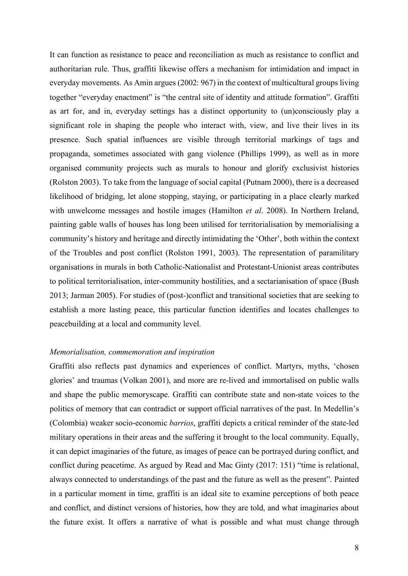It can function as resistance to peace and reconciliation as much as resistance to conflict and authoritarian rule. Thus, graffiti likewise offers a mechanism for intimidation and impact in everyday movements. As Amin argues (2002: 967) in the context of multicultural groups living together "everyday enactment" is "the central site of identity and attitude formation". Graffiti as art for, and in, everyday settings has a distinct opportunity to (un)consciously play a significant role in shaping the people who interact with, view, and live their lives in its presence. Such spatial influences are visible through territorial markings of tags and propaganda, sometimes associated with gang violence (Phillips 1999), as well as in more organised community projects such as murals to honour and glorify exclusivist histories (Rolston 2003). To take from the language of social capital (Putnam 2000), there is a decreased likelihood of bridging, let alone stopping, staying, or participating in a place clearly marked with unwelcome messages and hostile images (Hamilton *et al*. 2008). In Northern Ireland, painting gable walls of houses has long been utilised for territorialisation by memorialising a community's history and heritage and directly intimidating the 'Other', both within the context of the Troubles and post conflict (Rolston 1991, 2003). The representation of paramilitary organisations in murals in both Catholic-Nationalist and Protestant-Unionist areas contributes to political territorialisation, inter-community hostilities, and a sectarianisation of space (Bush 2013; Jarman 2005). For studies of (post-)conflict and transitional societies that are seeking to establish a more lasting peace, this particular function identifies and locates challenges to peacebuilding at a local and community level.

# *Memorialisation, commemoration and inspiration*

Graffiti also reflects past dynamics and experiences of conflict. Martyrs, myths, 'chosen glories' and traumas (Volkan 2001), and more are re-lived and immortalised on public walls and shape the public memoryscape. Graffiti can contribute state and non-state voices to the politics of memory that can contradict or support official narratives of the past. In Medellin's (Colombia) weaker socio-economic *barrios*, graffiti depicts a critical reminder of the state-led military operations in their areas and the suffering it brought to the local community. Equally, it can depict imaginaries of the future, as images of peace can be portrayed during conflict, and conflict during peacetime. As argued by Read and Mac Ginty (2017: 151) "time is relational, always connected to understandings of the past and the future as well as the present". Painted in a particular moment in time, graffiti is an ideal site to examine perceptions of both peace and conflict, and distinct versions of histories, how they are told, and what imaginaries about the future exist. It offers a narrative of what is possible and what must change through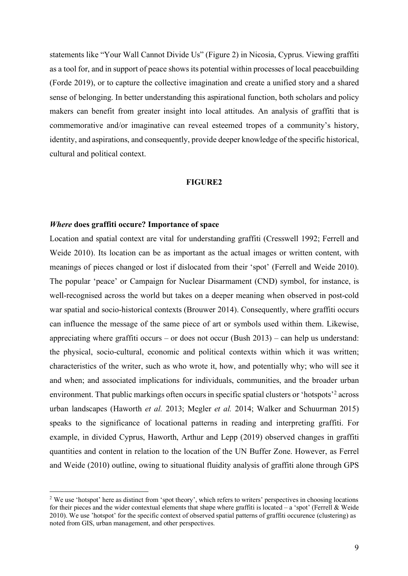statements like "Your Wall Cannot Divide Us" (Figure 2) in Nicosia, Cyprus. Viewing graffiti as a tool for, and in support of peace shows its potential within processes of local peacebuilding (Forde 2019), or to capture the collective imagination and create a unified story and a shared sense of belonging. In better understanding this aspirational function, both scholars and policy makers can benefit from greater insight into local attitudes. An analysis of graffiti that is commemorative and/or imaginative can reveal esteemed tropes of a community's history, identity, and aspirations, and consequently, provide deeper knowledge of the specific historical, cultural and political context.

#### **FIGURE2**

# *Where* **does graffiti occure? Importance of space**

Location and spatial context are vital for understanding graffiti (Cresswell 1992; Ferrell and Weide 2010). Its location can be as important as the actual images or written content, with meanings of pieces changed or lost if dislocated from their 'spot' (Ferrell and Weide 2010). The popular 'peace' or Campaign for Nuclear Disarmament (CND) symbol, for instance, is well-recognised across the world but takes on a deeper meaning when observed in post-cold war spatial and socio-historical contexts (Brouwer 2014). Consequently, where graffiti occurs can influence the message of the same piece of art or symbols used within them. Likewise, appreciating where graffiti occurs – or does not occur (Bush 2013) – can help us understand: the physical, socio-cultural, economic and political contexts within which it was written; characteristics of the writer, such as who wrote it, how, and potentially why; who will see it and when; and associated implications for individuals, communities, and the broader urban environment. That public markings often occurs in specific spatial clusters or 'hotspots'<sup>2</sup> across urban landscapes (Haworth *et al.* 2013; Megler *et al.* 2014; Walker and Schuurman 2015) speaks to the significance of locational patterns in reading and interpreting graffiti. For example, in divided Cyprus, Haworth, Arthur and Lepp (2019) observed changes in graffiti quantities and content in relation to the location of the UN Buffer Zone. However, as Ferrel and Weide (2010) outline, owing to situational fluidity analysis of graffiti alone through GPS

<sup>&</sup>lt;sup>2</sup> We use 'hotspot' here as distinct from 'spot theory', which refers to writers' perspectives in choosing locations for their pieces and the wider contextual elements that shape where graffiti is located – a 'spot' (Ferrell & Weide 2010). We use 'hotspot' for the specific context of observed spatial patterns of graffiti occurence (clustering) as noted from GIS, urban management, and other perspectives.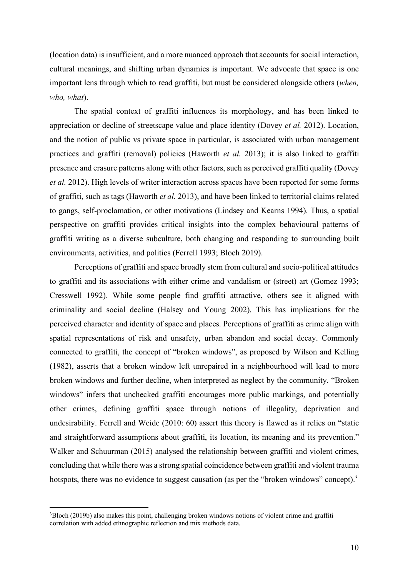(location data) is insufficient, and a more nuanced approach that accounts for social interaction, cultural meanings, and shifting urban dynamics is important. We advocate that space is one important lens through which to read graffiti, but must be considered alongside others (*when, who, what*).

The spatial context of graffiti influences its morphology, and has been linked to appreciation or decline of streetscape value and place identity (Dovey *et al.* 2012). Location, and the notion of public vs private space in particular, is associated with urban management practices and graffiti (removal) policies (Haworth *et al.* 2013); it is also linked to graffiti presence and erasure patterns along with other factors, such as perceived graffiti quality (Dovey *et al.* 2012). High levels of writer interaction across spaces have been reported for some forms of graffiti, such as tags (Haworth *et al.* 2013), and have been linked to territorial claims related to gangs, self-proclamation, or other motivations (Lindsey and Kearns 1994). Thus, a spatial perspective on graffiti provides critical insights into the complex behavioural patterns of graffiti writing as a diverse subculture, both changing and responding to surrounding built environments, activities, and politics (Ferrell 1993; Bloch 2019).

Perceptions of graffiti and space broadly stem from cultural and socio-political attitudes to graffiti and its associations with either crime and vandalism or (street) art (Gomez 1993; Cresswell 1992). While some people find graffiti attractive, others see it aligned with criminality and social decline (Halsey and Young 2002). This has implications for the perceived character and identity of space and places. Perceptions of graffiti as crime align with spatial representations of risk and unsafety, urban abandon and social decay. Commonly connected to graffiti, the concept of "broken windows", as proposed by Wilson and Kelling (1982), asserts that a broken window left unrepaired in a neighbourhood will lead to more broken windows and further decline, when interpreted as neglect by the community. "Broken windows" infers that unchecked graffiti encourages more public markings, and potentially other crimes, defining graffiti space through notions of illegality, deprivation and undesirability. Ferrell and Weide (2010: 60) assert this theory is flawed as it relies on "static and straightforward assumptions about graffiti, its location, its meaning and its prevention." Walker and Schuurman (2015) analysed the relationship between graffiti and violent crimes, concluding that while there was a strong spatial coincidence between graffiti and violent trauma hotspots, there was no evidence to suggest causation (as per the "broken windows" concept).<sup>3</sup>

 $\frac{1}{3}$ <sup>3</sup>Bloch (2019b) also makes this point, challenging broken windows notions of violent crime and graffiti correlation with added ethnographic reflection and mix methods data.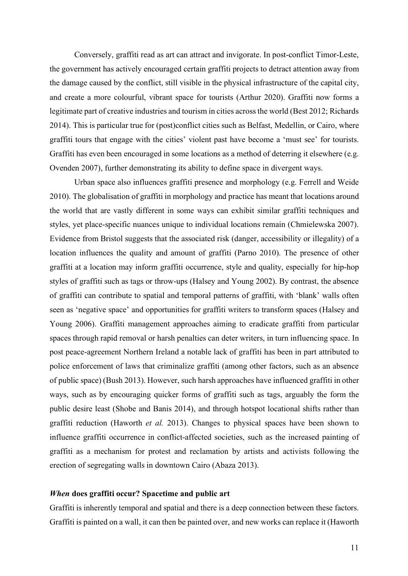Conversely, graffiti read as art can attract and invigorate. In post-conflict Timor-Leste, the government has actively encouraged certain graffiti projects to detract attention away from the damage caused by the conflict, still visible in the physical infrastructure of the capital city, and create a more colourful, vibrant space for tourists (Arthur 2020). Graffiti now forms a legitimate part of creative industries and tourism in cities across the world (Best 2012; Richards 2014). This is particular true for (post)conflict cities such as Belfast, Medellin, or Cairo, where graffiti tours that engage with the cities' violent past have become a 'must see' for tourists. Graffiti has even been encouraged in some locations as a method of deterring it elsewhere (e.g. Ovenden 2007), further demonstrating its ability to define space in divergent ways.

Urban space also influences graffiti presence and morphology (e.g. Ferrell and Weide 2010). The globalisation of graffiti in morphology and practice has meant that locations around the world that are vastly different in some ways can exhibit similar graffiti techniques and styles, yet place-specific nuances unique to individual locations remain (Chmielewska 2007). Evidence from Bristol suggests that the associated risk (danger, accessibility or illegality) of a location influences the quality and amount of graffiti (Parno 2010). The presence of other graffiti at a location may inform graffiti occurrence, style and quality, especially for hip-hop styles of graffiti such as tags or throw-ups (Halsey and Young 2002). By contrast, the absence of graffiti can contribute to spatial and temporal patterns of graffiti, with 'blank' walls often seen as 'negative space' and opportunities for graffiti writers to transform spaces (Halsey and Young 2006). Graffiti management approaches aiming to eradicate graffiti from particular spaces through rapid removal or harsh penalties can deter writers, in turn influencing space. In post peace-agreement Northern Ireland a notable lack of graffiti has been in part attributed to police enforcement of laws that criminalize graffiti (among other factors, such as an absence of public space) (Bush 2013). However, such harsh approaches have influenced graffiti in other ways, such as by encouraging quicker forms of graffiti such as tags, arguably the form the public desire least (Shobe and Banis 2014), and through hotspot locational shifts rather than graffiti reduction (Haworth *et al.* 2013). Changes to physical spaces have been shown to influence graffiti occurrence in conflict-affected societies, such as the increased painting of graffiti as a mechanism for protest and reclamation by artists and activists following the erection of segregating walls in downtown Cairo (Abaza 2013).

# *When* **does graffiti occur? Spacetime and public art**

Graffiti is inherently temporal and spatial and there is a deep connection between these factors. Graffiti is painted on a wall, it can then be painted over, and new works can replace it (Haworth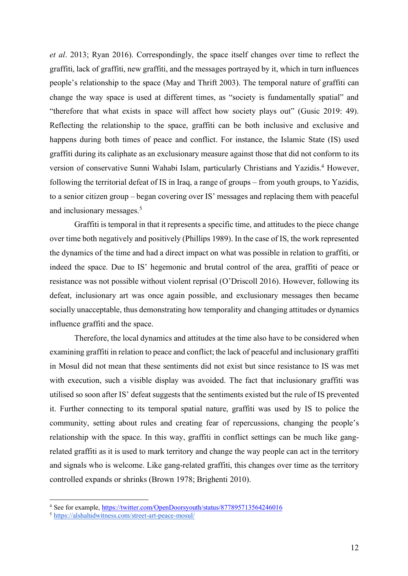*et al*. 2013; Ryan 2016). Correspondingly, the space itself changes over time to reflect the graffiti, lack of graffiti, new graffiti, and the messages portrayed by it, which in turn influences people's relationship to the space (May and Thrift 2003). The temporal nature of graffiti can change the way space is used at different times, as "society is fundamentally spatial" and "therefore that what exists in space will affect how society plays out" (Gusic 2019: 49). Reflecting the relationship to the space, graffiti can be both inclusive and exclusive and happens during both times of peace and conflict. For instance, the Islamic State (IS) used graffiti during its caliphate as an exclusionary measure against those that did not conform to its version of conservative Sunni Wahabi Islam, particularly Christians and Yazidis.<sup>4</sup> However, following the territorial defeat of IS in Iraq, a range of groups – from youth groups, to Yazidis, to a senior citizen group – began covering over IS' messages and replacing them with peaceful and inclusionary messages.<sup>5</sup>

Graffiti is temporal in that it represents a specific time, and attitudes to the piece change over time both negatively and positively (Phillips 1989). In the case of IS, the work represented the dynamics of the time and had a direct impact on what was possible in relation to graffiti, or indeed the space. Due to IS' hegemonic and brutal control of the area, graffiti of peace or resistance was not possible without violent reprisal (O'Driscoll 2016). However, following its defeat, inclusionary art was once again possible, and exclusionary messages then became socially unacceptable, thus demonstrating how temporality and changing attitudes or dynamics influence graffiti and the space.

Therefore, the local dynamics and attitudes at the time also have to be considered when examining graffiti in relation to peace and conflict; the lack of peaceful and inclusionary graffiti in Mosul did not mean that these sentiments did not exist but since resistance to IS was met with execution, such a visible display was avoided. The fact that inclusionary graffiti was utilised so soon after IS' defeat suggests that the sentiments existed but the rule of IS prevented it. Further connecting to its temporal spatial nature, graffiti was used by IS to police the community, setting about rules and creating fear of repercussions, changing the people's relationship with the space. In this way, graffiti in conflict settings can be much like gangrelated graffiti as it is used to mark territory and change the way people can act in the territory and signals who is welcome. Like gang-related graffiti, this changes over time as the territory controlled expands or shrinks (Brown 1978; Brighenti 2010).

 <sup>4</sup> See for example, https://twitter.com/OpenDoorsyouth/status/877895713564246016

<sup>5</sup> https://alshahidwitness.com/street-art-peace-mosul/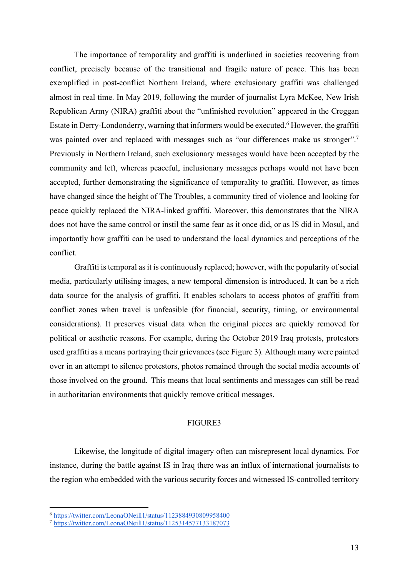The importance of temporality and graffiti is underlined in societies recovering from conflict, precisely because of the transitional and fragile nature of peace. This has been exemplified in post-conflict Northern Ireland, where exclusionary graffiti was challenged almost in real time. In May 2019, following the murder of journalist Lyra McKee, New Irish Republican Army (NIRA) graffiti about the "unfinished revolution" appeared in the Creggan Estate in Derry-Londonderry, warning that informers would be executed.<sup>6</sup> However, the graffiti was painted over and replaced with messages such as "our differences make us stronger".<sup>7</sup> Previously in Northern Ireland, such exclusionary messages would have been accepted by the community and left, whereas peaceful, inclusionary messages perhaps would not have been accepted, further demonstrating the significance of temporality to graffiti. However, as times have changed since the height of The Troubles, a community tired of violence and looking for peace quickly replaced the NIRA-linked graffiti. Moreover, this demonstrates that the NIRA does not have the same control or instil the same fear as it once did, or as IS did in Mosul, and importantly how graffiti can be used to understand the local dynamics and perceptions of the conflict.

Graffiti is temporal as it is continuously replaced; however, with the popularity of social media, particularly utilising images, a new temporal dimension is introduced. It can be a rich data source for the analysis of graffiti. It enables scholars to access photos of graffiti from conflict zones when travel is unfeasible (for financial, security, timing, or environmental considerations). It preserves visual data when the original pieces are quickly removed for political or aesthetic reasons. For example, during the October 2019 Iraq protests, protestors used graffiti as a means portraying their grievances(see Figure 3). Although many were painted over in an attempt to silence protestors, photos remained through the social media accounts of those involved on the ground. This means that local sentiments and messages can still be read in authoritarian environments that quickly remove critical messages.

# FIGURE3

Likewise, the longitude of digital imagery often can misrepresent local dynamics. For instance, during the battle against IS in Iraq there was an influx of international journalists to the region who embedded with the various security forces and witnessed IS-controlled territory

 <sup>6</sup> https://twitter.com/LeonaONeill1/status/1123884930809958400

<sup>7</sup> https://twitter.com/LeonaONeill1/status/1125314577133187073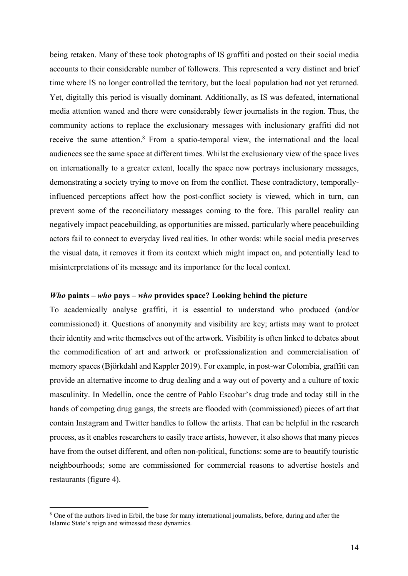being retaken. Many of these took photographs of IS graffiti and posted on their social media accounts to their considerable number of followers. This represented a very distinct and brief time where IS no longer controlled the territory, but the local population had not yet returned. Yet, digitally this period is visually dominant. Additionally, as IS was defeated, international media attention waned and there were considerably fewer journalists in the region. Thus, the community actions to replace the exclusionary messages with inclusionary graffiti did not receive the same attention.<sup>8</sup> From a spatio-temporal view, the international and the local audiences see the same space at different times. Whilst the exclusionary view of the space lives on internationally to a greater extent, locally the space now portrays inclusionary messages, demonstrating a society trying to move on from the conflict. These contradictory, temporallyinfluenced perceptions affect how the post-conflict society is viewed, which in turn, can prevent some of the reconciliatory messages coming to the fore. This parallel reality can negatively impact peacebuilding, as opportunities are missed, particularly where peacebuilding actors fail to connect to everyday lived realities. In other words: while social media preserves the visual data, it removes it from its context which might impact on, and potentially lead to misinterpretations of its message and its importance for the local context.

# *Who* **paints –** *who* **pays –** *who* **provides space? Looking behind the picture**

To academically analyse graffiti, it is essential to understand who produced (and/or commissioned) it. Questions of anonymity and visibility are key; artists may want to protect their identity and write themselves out of the artwork. Visibility is often linked to debates about the commodification of art and artwork or professionalization and commercialisation of memory spaces (Björkdahl and Kappler 2019). For example, in post-war Colombia, graffiti can provide an alternative income to drug dealing and a way out of poverty and a culture of toxic masculinity. In Medellin, once the centre of Pablo Escobar's drug trade and today still in the hands of competing drug gangs, the streets are flooded with (commissioned) pieces of art that contain Instagram and Twitter handles to follow the artists. That can be helpful in the research process, as it enables researchers to easily trace artists, however, it also shows that many pieces have from the outset different, and often non-political, functions: some are to beautify touristic neighbourhoods; some are commissioned for commercial reasons to advertise hostels and restaurants (figure 4).

<sup>&</sup>lt;sup>8</sup> One of the authors lived in Erbil, the base for many international journalists, before, during and after the Islamic State's reign and witnessed these dynamics.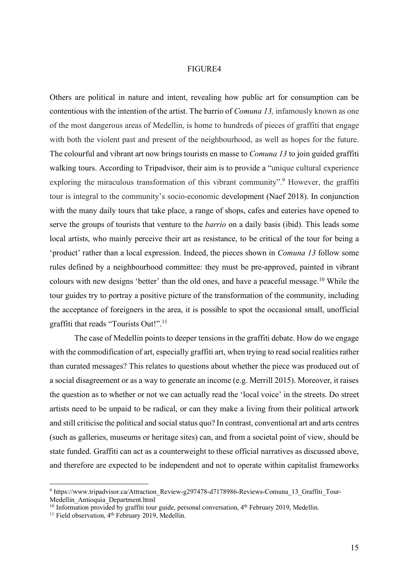## FIGURE4

Others are political in nature and intent, revealing how public art for consumption can be contentious with the intention of the artist. The barrio of *Comuna 13,* infamously known as one of the most dangerous areas of Medellin, is home to hundreds of pieces of graffiti that engage with both the violent past and present of the neighbourhood, as well as hopes for the future. The colourful and vibrant art now brings tourists en masse to *Comuna 13* to join guided graffiti walking tours. According to Tripadvisor, their aim is to provide a "unique cultural experience exploring the miraculous transformation of this vibrant community".<sup>9</sup> However, the graffiti tour is integral to the community's socio-economic development (Naef 2018). In conjunction with the many daily tours that take place, a range of shops, cafes and eateries have opened to serve the groups of tourists that venture to the *barrio* on a daily basis (ibid). This leads some local artists, who mainly perceive their art as resistance, to be critical of the tour for being a 'product' rather than a local expression. Indeed, the pieces shown in *Comuna 13* follow some rules defined by a neighbourhood committee: they must be pre-approved, painted in vibrant colours with new designs 'better' than the old ones, and have a peaceful message. <sup>10</sup> While the tour guides try to portray a positive picture of the transformation of the community, including the acceptance of foreigners in the area, it is possible to spot the occasional small, unofficial graffiti that reads "Tourists Out!". 11

The case of Medellin points to deeper tensions in the graffiti debate. How do we engage with the commodification of art, especially graffiti art, when trying to read social realities rather than curated messages? This relates to questions about whether the piece was produced out of a social disagreement or as a way to generate an income (e.g. Merrill 2015). Moreover, it raises the question as to whether or not we can actually read the 'local voice' in the streets. Do street artists need to be unpaid to be radical, or can they make a living from their political artwork and still criticise the political and social status quo? In contrast, conventional art and arts centres (such as galleries, museums or heritage sites) can, and from a societal point of view, should be state funded. Graffiti can act as a counterweight to these official narratives as discussed above, and therefore are expected to be independent and not to operate within capitalist frameworks

<sup>&</sup>lt;sup>9</sup> https://www.tripadvisor.ca/Attraction\_Review-g297478-d7178986-Reviews-Comuna\_13\_Graffiti\_Tour-Medellin\_Antioquia\_Department.html

<sup>&</sup>lt;sup>10</sup> Information provided by graffiti tour guide, personal conversation,  $4<sup>th</sup>$  February 2019, Medellin.

<sup>&</sup>lt;sup>11</sup> Field observation, 4<sup>th</sup> February 2019, Medellin.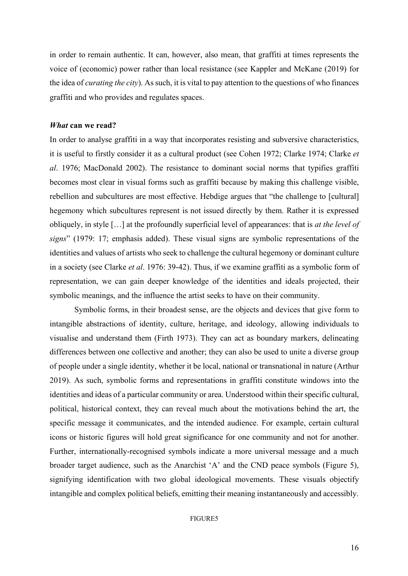in order to remain authentic. It can, however, also mean, that graffiti at times represents the voice of (economic) power rather than local resistance (see Kappler and McKane (2019) for the idea of *curating the city*). As such, it is vital to pay attention to the questions of who finances graffiti and who provides and regulates spaces.

# *What* **can we read?**

In order to analyse graffiti in a way that incorporates resisting and subversive characteristics, it is useful to firstly consider it as a cultural product (see Cohen 1972; Clarke 1974; Clarke *et al*. 1976; MacDonald 2002). The resistance to dominant social norms that typifies graffiti becomes most clear in visual forms such as graffiti because by making this challenge visible, rebellion and subcultures are most effective. Hebdige argues that "the challenge to [cultural] hegemony which subcultures represent is not issued directly by them. Rather it is expressed obliquely, in style […] at the profoundly superficial level of appearances: that is *at the level of signs*" (1979: 17; emphasis added). These visual signs are symbolic representations of the identities and values of artists who seek to challenge the cultural hegemony or dominant culture in a society (see Clarke *et al*. 1976: 39-42). Thus, if we examine graffiti as a symbolic form of representation, we can gain deeper knowledge of the identities and ideals projected, their symbolic meanings, and the influence the artist seeks to have on their community.

Symbolic forms, in their broadest sense, are the objects and devices that give form to intangible abstractions of identity, culture, heritage, and ideology, allowing individuals to visualise and understand them (Firth 1973). They can act as boundary markers, delineating differences between one collective and another; they can also be used to unite a diverse group of people under a single identity, whether it be local, national or transnational in nature (Arthur 2019). As such, symbolic forms and representations in graffiti constitute windows into the identities and ideas of a particular community or area. Understood within their specific cultural, political, historical context, they can reveal much about the motivations behind the art, the specific message it communicates, and the intended audience. For example, certain cultural icons or historic figures will hold great significance for one community and not for another. Further, internationally-recognised symbols indicate a more universal message and a much broader target audience, such as the Anarchist 'A' and the CND peace symbols (Figure 5), signifying identification with two global ideological movements. These visuals objectify intangible and complex political beliefs, emitting their meaning instantaneously and accessibly.

## FIGURE5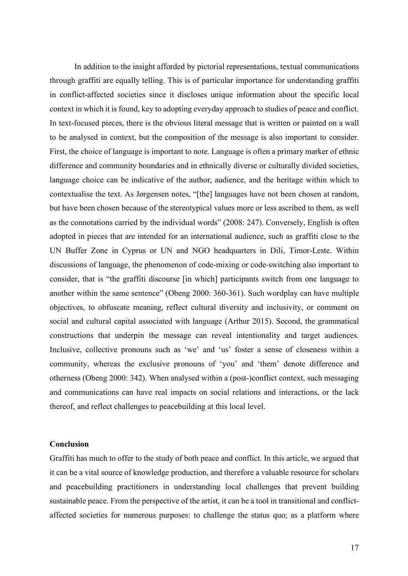In addition to the insight afforded by pictorial representations, textual communications through graffiti are equally telling. This is of particular importance for understanding graffiti in conflict-affected societies since it discloses unique information about the specific local context in which it is found, key to adopting everyday approach to studies of peace and conflict. In text-focused pieces, there is the obvious literal message that is written or painted on a wall to be analysed in context, but the composition of the message is also important to consider. First, the choice of language is important to note. Language is often a primary marker of ethnic difference and community boundaries and in ethnically diverse or culturally divided societies, language choice can be indicative of the author, audience, and the heritage within which to contextualise the text. As Jørgensen notes, "[the] languages have not been chosen at random, but have been chosen because of the stereotypical values more or less ascribed to them, as well as the connotations carried by the individual words" (2008: 247). Conversely, English is often adopted in pieces that are intended for an international audience, such as graffiti close to the UN Buffer Zone in Cyprus or UN and NGO headquarters in Dili, Timor-Leste. Within discussions of language, the phenomenon of code-mixing or code-switching also important to consider, that is "the graffiti discourse [in which] participants switch from one language to another within the same sentence" (Obeng 2000: 360-361). Such wordplay can have multiple objectives, to obfuscate meaning, reflect cultural diversity and inclusivity, or comment on social and cultural capital associated with language (Arthur 2015). Second, the grammatical constructions that underpin the message can reveal intentionality and target audiences. Inclusive, collective pronouns such as 'we' and 'us' foster a sense of closeness within a community, whereas the exclusive pronouns of 'you' and 'them' denote difference and otherness (Obeng 2000: 342). When analysed within a (post-)conflict context, such messaging and communications can have real impacts on social relations and interactions, or the lack thereof, and reflect challenges to peacebuilding at this local level.

# **Conclusion**

Graffiti has much to offer to the study of both peace and conflict. In this article, we argued that it can be a vital source of knowledge production, and therefore a valuable resource for scholars and peacebuilding practitioners in understanding local challenges that prevent building sustainable peace. From the perspective of the artist, it can be a tool in transitional and conflictaffected societies for numerous purposes: to challenge the status quo; as a platform where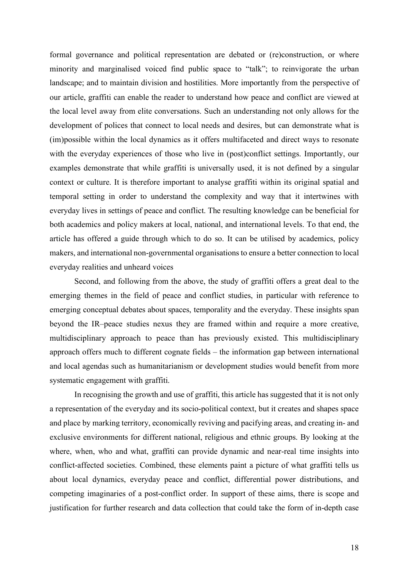formal governance and political representation are debated or (re)construction, or where minority and marginalised voiced find public space to "talk"; to reinvigorate the urban landscape; and to maintain division and hostilities. More importantly from the perspective of our article, graffiti can enable the reader to understand how peace and conflict are viewed at the local level away from elite conversations. Such an understanding not only allows for the development of polices that connect to local needs and desires, but can demonstrate what is (im)possible within the local dynamics as it offers multifaceted and direct ways to resonate with the everyday experiences of those who live in (post)conflict settings. Importantly, our examples demonstrate that while graffiti is universally used, it is not defined by a singular context or culture. It is therefore important to analyse graffiti within its original spatial and temporal setting in order to understand the complexity and way that it intertwines with everyday lives in settings of peace and conflict. The resulting knowledge can be beneficial for both academics and policy makers at local, national, and international levels. To that end, the article has offered a guide through which to do so. It can be utilised by academics, policy makers, and international non-governmental organisations to ensure a better connection to local everyday realities and unheard voices

Second, and following from the above, the study of graffiti offers a great deal to the emerging themes in the field of peace and conflict studies, in particular with reference to emerging conceptual debates about spaces, temporality and the everyday. These insights span beyond the IR–peace studies nexus they are framed within and require a more creative, multidisciplinary approach to peace than has previously existed. This multidisciplinary approach offers much to different cognate fields – the information gap between international and local agendas such as humanitarianism or development studies would benefit from more systematic engagement with graffiti.

In recognising the growth and use of graffiti, this article has suggested that it is not only a representation of the everyday and its socio-political context, but it creates and shapes space and place by marking territory, economically reviving and pacifying areas, and creating in- and exclusive environments for different national, religious and ethnic groups. By looking at the where, when, who and what, graffiti can provide dynamic and near-real time insights into conflict-affected societies. Combined, these elements paint a picture of what graffiti tells us about local dynamics, everyday peace and conflict, differential power distributions, and competing imaginaries of a post-conflict order. In support of these aims, there is scope and justification for further research and data collection that could take the form of in-depth case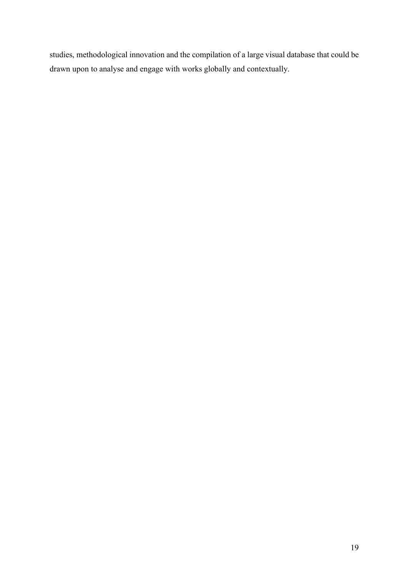studies, methodological innovation and the compilation of a large visual database that could be drawn upon to analyse and engage with works globally and contextually.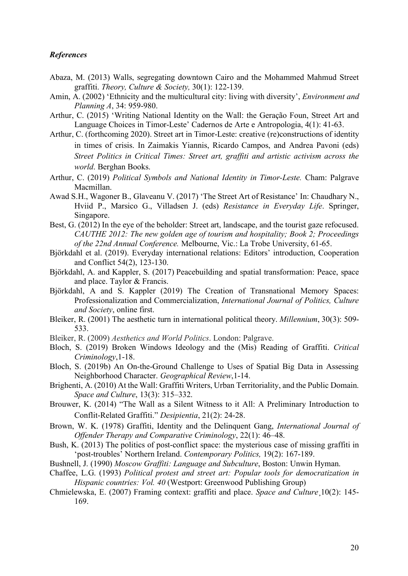# *References*

- Abaza, M. (2013) Walls, segregating downtown Cairo and the Mohammed Mahmud Street graffiti. *Theory, Culture & Society,* 30(1): 122-139.
- Amin, A. (2002) 'Ethnicity and the multicultural city: living with diversity', *Environment and Planning A*, 34: 959-980.
- Arthur, C. (2015) 'Writing National Identity on the Wall: the Geração Foun, Street Art and Language Choices in Timor-Leste' Cadernos de Arte e Antropologia, 4(1): 41-63.
- Arthur, C. (forthcoming 2020). Street art in Timor-Leste: creative (re)constructions of identity in times of crisis. In Zaimakis Yiannis, Ricardo Campos, and Andrea Pavoni (eds) *Street Politics in Critical Times: Street art, graffiti and artistic activism across the world*. Berghan Books.
- Arthur, C. (2019) *Political Symbols and National Identity in Timor-Leste.* Cham: Palgrave Macmillan.
- Awad S.H., Wagoner B., Glaveanu V. (2017) 'The Street Art of Resistance' In: Chaudhary N., Hviid P., Marsico G., Villadsen J. (eds) *Resistance in Everyday Life*. Springer, Singapore.
- Best, G. (2012) In the eye of the beholder: Street art, landscape, and the tourist gaze refocused. *CAUTHE 2012: The new golden age of tourism and hospitality; Book 2; Proceedings of the 22nd Annual Conference.* Melbourne, Vic.: La Trobe University, 61-65.
- Björkdahl et al. (2019). Everyday international relations: Editors' introduction, Cooperation and Conflict 54(2), 123-130.
- Björkdahl, A. and Kappler, S. (2017) Peacebuilding and spatial transformation: Peace, space and place. Taylor & Francis.
- Björkdahl, A and S. Kappler (2019) The Creation of Transnational Memory Spaces: Professionalization and Commercialization, *International Journal of Politics, Culture and Society*, online first.
- Bleiker, R. (2001) The aesthetic turn in international political theory. *Millennium*, 30(3): 509- 533.
- Bleiker, R. (2009) *Aesthetics and World Politics*. London: Palgrave.
- Bloch, S. (2019) Broken Windows Ideology and the (Mis) Reading of Graffiti. *Critical Criminology*,1-18.
- Bloch, S. (2019b) An On-the-Ground Challenge to Uses of Spatial Big Data in Assessing Neighborhood Character. *Geographical Review*,1-14.
- Brighenti, A. (2010) At the Wall: Graffiti Writers, Urban Territoriality, and the Public Domain. *Space and Culture*, 13(3): 315–332.
- Brouwer, K. (2014) "The Wall as a Silent Witness to it All: A Preliminary Introduction to Conflit-Related Graffiti." *Desipientia*, 21(2): 24-28.
- Brown, W. K. (1978) Graffiti, Identity and the Delinquent Gang, *International Journal of Offender Therapy and Comparative Criminology*, 22(1): 46–48.
- Bush, K. (2013) The politics of post-conflict space: the mysterious case of missing graffiti in 'post-troubles' Northern Ireland. *Contemporary Politics,* 19(2): 167-189.
- Bushnell, J. (1990) *Moscow Graffiti: Language and Subculture*, Boston: Unwin Hyman.
- Chaffee, L.G. (1993) *Political protest and street art: Popular tools for democratization in Hispanic countries: Vol. 40* (Westport: Greenwood Publishing Group)
- Chmielewska, E. (2007) Framing context: graffiti and place. *Space and Culture*¸10(2): 145- 169.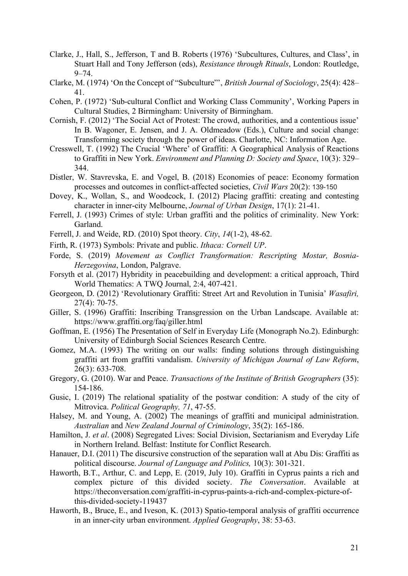- Clarke, J., Hall, S., Jefferson, T and B. Roberts (1976) 'Subcultures, Cultures, and Class', in Stuart Hall and Tony Jefferson (eds), *Resistance through Rituals*, London: Routledge, 9–74.
- Clarke, M. (1974) 'On the Concept of "Subculture"', *British Journal of Sociology*, 25(4): 428– 41.
- Cohen, P. (1972) 'Sub-cultural Conflict and Working Class Community', Working Papers in Cultural Studies, 2 Birmingham: University of Birmingham.
- Cornish, F. (2012) 'The Social Act of Protest: The crowd, authorities, and a contentious issue' In B. Wagoner, E. Jensen, and J. A. Oldmeadow (Eds.), Culture and social change: Transforming society through the power of ideas. Charlotte, NC: Information Age.
- Cresswell, T. (1992) The Crucial 'Where' of Graffiti: A Geographical Analysis of Reactions to Graffiti in New York. *Environment and Planning D: Society and Space*, 10(3): 329– 344.
- Distler, W. Stavrevska, E. and Vogel, B. (2018) Economies of peace: Economy formation processes and outcomes in conflict-affected societies, *Civil Wars* 20(2): 139-150
- Dovey, K., Wollan, S., and Woodcock, I. (2012) Placing graffiti: creating and contesting character in inner-city Melbourne, *Journal of Urban Design*, 17(1): 21-41.
- Ferrell, J. (1993) Crimes of style: Urban graffiti and the politics of criminality. New York: Garland.
- Ferrell, J. and Weide, RD. (2010) Spot theory. *City*, *14*(1-2), 48-62.
- Firth, R. (1973) Symbols: Private and public. *Ithaca: Cornell UP*.
- Forde, S. (2019) *Movement as Conflict Transformation: Rescripting Mostar, Bosnia-Herzegovina*, London, Palgrave.
- Forsyth et al. (2017) Hybridity in peacebuilding and development: a critical approach, Third World Thematics: A TWQ Journal, 2:4, 407-421.
- Georgeon, D. (2012) 'Revolutionary Graffiti: Street Art and Revolution in Tunisia' *Wasafiri,*  27(4): 70-75.
- Giller, S. (1996) Graffiti: Inscribing Transgression on the Urban Landscape. Available at: https://www.graffiti.org/faq/giller.html
- Goffman, E. (1956) The Presentation of Self in Everyday Life (Monograph No.2). Edinburgh: University of Edinburgh Social Sciences Research Centre.
- Gomez, M.A. (1993) The writing on our walls: finding solutions through distinguishing graffiti art from graffiti vandalism. *University of Michigan Journal of Law Reform*, 26(3): 633-708.
- Gregory, G. (2010). War and Peace. *Transactions of the Institute of British Geographers* (35): 154-186.
- Gusic, I. (2019) The relational spatiality of the postwar condition: A study of the city of Mitrovica. *Political Geography, 71*, 47-55.
- Halsey, M. and Young, A. (2002) The meanings of graffiti and municipal administration. *Australian* and *New Zealand Journal of Criminology*, 35(2): 165-186.
- Hamilton, J. *et al*. (2008) Segregated Lives: Social Division, Sectarianism and Everyday Life in Northern Ireland. Belfast: Institute for Conflict Research.
- Hanauer, D.I. (2011) The discursive construction of the separation wall at Abu Dis: Graffiti as political discourse. *Journal of Language and Politics,* 10(3): 301-321.
- Haworth, B.T., Arthur, C. and Lepp, E. (2019, July 10). Graffiti in Cyprus paints a rich and complex picture of this divided society. *The Conversation*. Available at https://theconversation.com/graffiti-in-cyprus-paints-a-rich-and-complex-picture-ofthis-divided-society-119437
- Haworth, B., Bruce, E., and Iveson, K. (2013) Spatio-temporal analysis of graffiti occurrence in an inner-city urban environment. *Applied Geography*, 38: 53-63.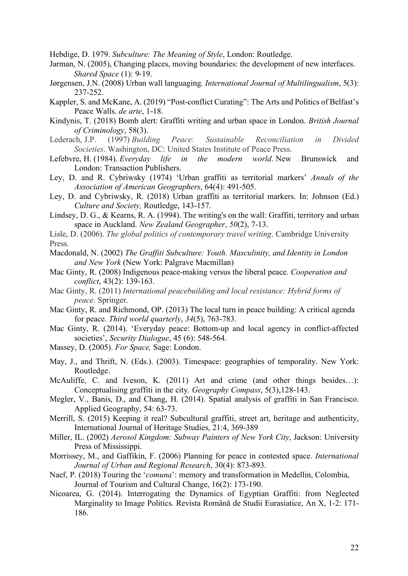Hebdige, D. 1979. *Subculture: The Meaning of Style*, London: Routledge.

- Jarman, N. (2005), Changing places, moving boundaries: the development of new interfaces. *Shared Space* (1): 9-19.
- Jørgensen, J.N. (2008) Urban wall languaging. *International Journal of Multilingualism*, 5(3): 237-252.
- Kappler, S. and McKane, A. (2019) "Post-conflict Curating": The Arts and Politics of Belfast's Peace Walls. *de arte*, 1-18.
- Kindynis, T. (2018) Bomb alert: Graffiti writing and urban space in London. *British Journal of Criminology*, 58(3).
- Lederach, J.P. (1997) *Building Peace: Sustainable Reconciliation in Divided Societies*. Washington, DC: United States Institute of Peace Press.
- Lefebvre, H. (1984). *Everyday life in the modern world*. New Brunswick and London: Transaction Publishers.
- Ley, D. and R. Cybriwsky (1974) 'Urban graffiti as territorial markers' *Annals of the Association of American Geographers*, 64(4): 491-505.
- Ley, D. and Cybriwsky, R. (2018) Urban graffiti as territorial markers. In: Johnson (Ed.) *Culture and Society,* Routledge, 143-157.
- Lindsey, D. G., & Kearns, R. A. (1994). The writing's on the wall: Graffiti, territory and urban space in Auckland. *New Zealand Geographer*, *50*(2), 7-13.
- Lisle, D. (2006). *The global politics of contemporary travel writing*. Cambridge University Press.
- Macdonald, N. (2002) *The Graffiti Subculture: Youth. Masculinity, and Identity in London and New York* (New York: Palgrave Macmillan)
- Mac Ginty, R. (2008) Indigenous peace-making versus the liberal peace. *Cooperation and conflict*, 43(2): 139-163.
- Mac Ginty, R. (2011) *International peacebuilding and local resistance: Hybrid forms of peace*. Springer.
- Mac Ginty, R. and Richmond, OP. (2013) The local turn in peace building: A critical agenda for peace. *Third world quarterly*, *34*(5), 763-783.
- Mac Ginty, R. (2014). 'Everyday peace: Bottom-up and local agency in conflict-affected societies', *Security Dialogue*, 45 (6): 548-564.
- Massey, D. (2005). *For Space,* Sage: London.
- May, J., and Thrift, N. (Eds.). (2003). Timespace: geographies of temporality. New York: Routledge.
- McAuliffe, C. and Iveson, K. (2011) Art and crime (and other things besides…): Conceptualising graffiti in the city*. Geography Compass*, 5(3),128-143.
- Megler, V., Banis, D., and Chang, H. (2014). Spatial analysis of graffiti in San Francisco. Applied Geography, 54: 63-73.
- Merrill, S. (2015) Keeping it real? Subcultural graffiti, street art, heritage and authenticity, International Journal of Heritage Studies, 21:4, 369-389
- Miller, IL. (2002) *Aerosol Kingdom: Subway Painters of New York City*, Jackson: University Press of Mississippi.
- Morrissey, M., and Gaffikin, F. (2006) Planning for peace in contested space. *International Journal of Urban and Regional Research*, 30(4): 873-893.
- Naef, P. (2018) Touring the '*comuna*': memory and transformation in Medellin, Colombia, Journal of Tourism and Cultural Change, 16(2): 173-190.
- Nicoarea, G. (2014). Interrogating the Dynamics of Egyptian Graffiti: from Neglected Marginality to Image Politics. Revista Română de Studii Eurasiatice, An X, 1-2: 171- 186.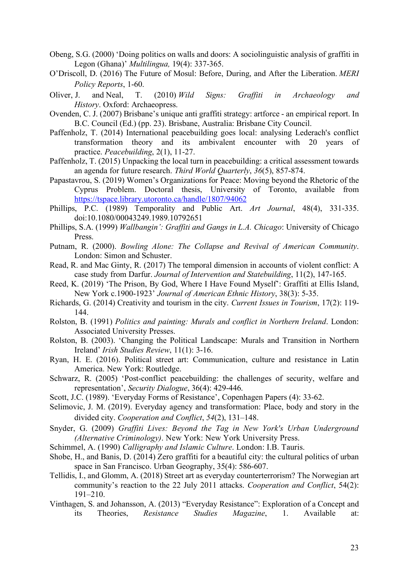- Obeng, S.G. (2000) 'Doing politics on walls and doors: A sociolinguistic analysis of graffiti in Legon (Ghana)' *Multilingua,* 19(4): 337-365.
- O'Driscoll, D. (2016) The Future of Mosul: Before, During, and After the Liberation. *MERI Policy Reports*, 1-60.
- Oliver, J. and Neal, T. (2010) *Wild Signs: Graffiti in Archaeology and History*. Oxford: Archaeopress.
- Ovenden, C. J. (2007) Brisbane's unique anti graffiti strategy: artforce an empirical report. In B.C. Council (Ed.) (pp. 23). Brisbane, Australia: Brisbane City Council.
- Paffenholz, T. (2014) International peacebuilding goes local: analysing Lederach's conflict transformation theory and its ambivalent encounter with 20 years of practice. *Peacebuilding*, 2(1), 11-27.
- Paffenholz, T. (2015) Unpacking the local turn in peacebuilding: a critical assessment towards an agenda for future research. *Third World Quarterly*, *36*(5), 857-874.
- Papastavrou, S. (2019) Women's Organizations for Peace: Moving beyond the Rhetoric of the Cyprus Problem. Doctoral thesis, University of Toronto, available from https://tspace.library.utoronto.ca/handle/1807/94062
- Phillips, P.C. (1989) Temporality and Public Art. *Art Journal*, 48(4), 331-335. doi:10.1080/00043249.1989.10792651
- Phillips, S.A. (1999) *Wallbangin': Graffiti and Gangs in L.A. Chicago*: University of Chicago Press.
- Putnam, R. (2000). *Bowling Alone: The Collapse and Revival of American Community*. London: Simon and Schuster.
- Read, R. and Mac Ginty, R. (2017) The temporal dimension in accounts of violent conflict: A case study from Darfur. *Journal of Intervention and Statebuilding*, 11(2), 147-165.
- Reed, K. (2019) 'The Prison, By God, Where I Have Found Myself': Graffiti at Ellis Island, New York c.1900-1923' *Journal of American Ethnic History*, 38(3): 5-35.
- Richards, G. (2014) Creativity and tourism in the city. *Current Issues in Tourism*, 17(2): 119- 144.
- Rolston, B. (1991) *Politics and painting: Murals and conflict in Northern Ireland*. London: Associated University Presses.
- Rolston, B. (2003). 'Changing the Political Landscape: Murals and Transition in Northern Ireland' *Irish Studies Review*, 11(1): 3-16.
- Ryan, H. E. (2016). Political street art: Communication, culture and resistance in Latin America. New York: Routledge.
- Schwarz, R. (2005) 'Post-conflict peacebuilding: the challenges of security, welfare and representation', *Security Dialogue*, 36(4): 429-446.
- Scott, J.C. (1989). 'Everyday Forms of Resistance', Copenhagen Papers (4): 33-62.
- Selimovic, J. M. (2019). Everyday agency and transformation: Place, body and story in the divided city. *Cooperation and Conflict*, *54*(2), 131–148.
- Snyder, G. (2009) *Graffiti Lives: Beyond the Tag in New York's Urban Underground (Alternative Criminology)*. New York: New York University Press.
- Schimmel, A. (1990) *Calligraphy and Islamic Culture*. London: I.B. Tauris.
- Shobe, H., and Banis, D. (2014) Zero graffiti for a beautiful city: the cultural politics of urban space in San Francisco. Urban Geography, 35(4): 586-607.
- Tellidis, I., and Glomm, A. (2018) Street art as everyday counterterrorism? The Norwegian art community's reaction to the 22 July 2011 attacks. *Cooperation and Conflict*, 54(2): 191–210.
- Vinthagen, S. and Johansson, A. (2013) "Everyday Resistance": Exploration of a Concept and its Theories, *Resistance Studies Magazine*, 1. Available at: